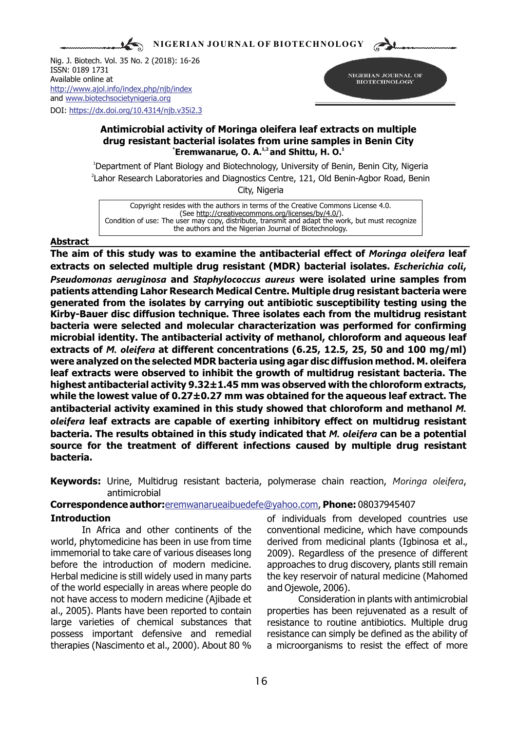**NIGERIAN JOURNAL OF BIOTECHNOLOGY**

Nig. J. Biotech. Vol. 35 No. 2 (2018): 16-26 ISSN: 0189 1731 Available online at and [www.biotechsocietynigeria.org](http://www.biotechsocietynigeria.org) DOI: https://dx.doi.org/10.4314/njb.v35i2.3 <http://www.ajol.info/index.php/njb/index>



### **Antimicrobial activity of Moringa oleifera leaf extracts on multiple drug resistant bacterial isolates from urine samples in Benin City <sup>\*</sup> Eremwanarue, O. A.<sup>1,2</sup> and Shittu, H. O.<sup>1</sup>**

<sup>1</sup>Department of Plant Biology and Biotechnology, University of Benin, Benin City, Nigeria <sup>2</sup> Lahor Research Laboratories and Diagnostics Centre, 121, Old Benin-Agbor Road, Benin City, Nigeria

Copyright resides with the authors in terms of the Creative Commons License 4.0. (See http://creativecommons.org/licenses/by/4.0/). Condition of use: The user may copy, distribute, transmit and adapt the work, but must recognize the authors and the Nigerian Journal of Biotechnology.

## **Abstract**

**The aim of this study was to examine the antibacterial effect of** *Moringa oleifera* **leaf extracts on selected multiple drug resistant (MDR) bacterial isolates.** *Escherichia coli***,**  *Pseudomonas aeruginosa* **and** *Staphylococcus aureus* **were isolated urine samples from patients attending Lahor Research Medical Centre. Multiple drug resistant bacteria were generated from the isolates by carrying out antibiotic susceptibility testing using the Kirby-Bauer disc diffusion technique. Three isolates each from the multidrug resistant bacteria were selected and molecular characterization was performed for confirming microbial identity. The antibacterial activity of methanol, chloroform and aqueous leaf extracts of** *M. oleifera* **at different concentrations (6.25, 12.5, 25, 50 and 100 mg/ml) were analyzed on the selected MDR bacteria using agar disc diffusion method. M. oleifera leaf extracts were observed to inhibit the growth of multidrug resistant bacteria. The highest antibacterial activity 9.32±1.45 mm was observed with the chloroform extracts, while the lowest value of 0.27±0.27 mm was obtained for the aqueous leaf extract. The antibacterial activity examined in this study showed that chloroform and methanol** *M. oleifera* **leaf extracts are capable of exerting inhibitory effect on multidrug resistant bacteria. The results obtained in this study indicated that** *M. oleifera* **can be a potential source for the treatment of different infections caused by multiple drug resistant bacteria.**

**Keywords:** Urine, Multidrug resistant bacteria, polymerase chain reaction, *Moringa oleifera*, antimicrobial

# **Correspondence author:**eremwanarueaibuedefe@yahoo.com, **Phone:** 08037945407

world, phytomedicine has been in use from time derived from medicinal plants (Igbinosa et al., immemorial to take care of various diseases long 2009). Regardless of the presence of different before the introduction of modern medicine. approaches to drug discovery, plants still remain Herbal medicine is still widely used in many parts the key reservoir of natural medicine (Mahomed of the world especially in areas where people do and Ojewole, 2006). not have access to modern medicine (Ajibade et Consideration in plants with antimicrobial al., 2005). Plants have been reported to contain properties has been rejuvenated as a result of large varieties of chemical substances that resistance to routine antibiotics. Multiple drug possess important defensive and remedial resistance can simply be defined as the ability of therapies (Nascimento et al., 2000). About 80 % a microorganisms to resist the effect of more

**Introduction of individuals from developed countries use** In Africa and other continents of the conventional medicine, which have compounds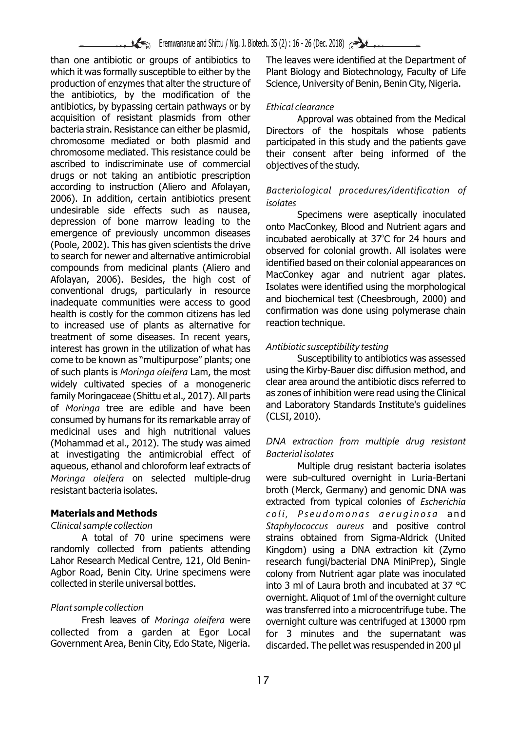than one antibiotic or groups of antibiotics to The leaves were identified at the Department of which it was formally susceptible to either by the Plant Biology and Biotechnology. Faculty of Life production of enzymes that alter the structure of Science, University of Benin, Benin City, Nigeria. the antibiotics, by the modification of the antibiotics, by bypassing certain pathways or by *Ethical clearance* acquisition of resistant plasmids from other Approval was obtained from the Medical<br>bacteria strain. Resistance can either be plasmid, Directors of the hospitals whose patients bacteria strain. Resistance can either be plasmid, Directors of the hospitals whose patients chromosome mediated or both plasmid and participated in this study and the patients gave chromosome mediated or both plasmid and participated in this study and the patients gave<br>chromosome mediated. This resistance could be their consent after being informed of the ascribed to indiscriminate use of commercial objectives of the study. drugs or not taking an antibiotic prescription according to instruction (Aliero and Afolayan, *Bacteriological procedures/identification of*  2006). In addition, certain antibiotics present<br>
undesirable side effects such as nausea,<br>
depression of bone marrow leading to the<br>
emergence of previously uncommon diseases<br>
incubated aerobically at 37°C for 24 hours and (Poole, 2002). This has given scientists the drive<br>to search for newer and alternative antimicrobial<br>compounds from medicinal plants (Aliero and MacConkey agar and nutrient agar plates.<br>Afolayan, 2006). Besides, the high c Afolayan, 2006). Besides, the high cost of MacConkey agar and nutrient agar plates.<br>
conventional drugs, particularly in resource Isolates were identified using the morphological<br>
inadequate communities were access to good inadequate communities were access to good and biochemical test (Cheesbrough, 2000) and<br>health is costly for the common citizens has led confirmation was done using polymerase chain health is costly for the common citizens has led confirmation was do<br>to increased use of plants as alternative for reaction technique. to increased use of plants as alternative for treatment of some diseases. In recent years, interest has grown in the utilization of what has *Antibiotic susceptibility testing* come to be known as "multipurpose" plants; one Susceptibility to antibiotics was assessed<br>Susceptibility to antibiotics was assessed<br>of such plants is *Moringa oleifera* Lam, the most using the Kirby-Bauer disc diffusion m of such plants is *Moringa oleifera* Lam, the most using the Kirby-Bauer disc diffusion method, and<br>Widely, cultivated, species, of a monogenericy clear area around the antibiotic discs referred to widely cultivated species of a monogeneric clear area around the antibiotic discs referred to<br>family Moringaceae (Shittu et al. 2017) All parts as zones of inhibition were read using the Clinical family Moringaceae (Shittu et al., 2017). All parts as zones of inhibition were read using the Clinical<br>of Moringa, tree, are, edible, and have been and Laboratory Standards Institute's quidelines of *Moringa* tree are edible and have been and Laborato<br>consumed by humans for its remarkable array of (CLSI, 2010). consumed by humans for its remarkable array of medicinal uses and high nutritional values (Mohammad et al., 2012). The study was aimed *DNA extraction from multiple drug resistant*  at investigating the antimicrobial effect of *Bacterial isolates* aqueous, ethanol and chloroform leaf extracts of Multiple drug resistant bacteria isolates *Moringa oleifera* on selected multiple-drug were sub-cultured overnight in Luria-Bertani resistant bacteria isolates. broth (Merck, Germany) and genomic DNA was

randomly collected from patients attending Kingdom) using a DNA extraction kit (Zymo Lahor Research Medical Centre, 121, Old Benin-<br>research fungi/bacterial DNA MiniPrep), Single Agbor Road, Benin City. Urine specimens were colony from Nutrient agar plate was inoculated collected in sterile universal bottles.

Fresh leaves of *Moringa oleifera* were overnight culture was centrifuged at 13000 rpm<br>collected from a garden at Egor Local for 3 minutes and the supernatant was collected from a garden at Egor Local for 3 minutes and the supernatant was<br>Government Area, Benin City, Edo State, Nigeria. discarded The pellet was resuspended in 200 ul

Plant Biology and Biotechnology, Faculty of Life

their consent after being informed of the

extracted from typical colonies of *Escherichia*  **Materials and Methods** *coli, Pseudomonas aeruginosa* and *Clinical sample collection Staphylococcus aureus* and positive control A total of 70 urine specimens were strains obtained from Sigma-Aldrick (United into 3 ml of Laura broth and incubated at 37  $^{\circ}$ C. overnight. Aliquot of 1ml of the overnight culture *Plant sample collection* was transferred into a microcentrifuge tube. The discarded. The pellet was resuspended in 200 µl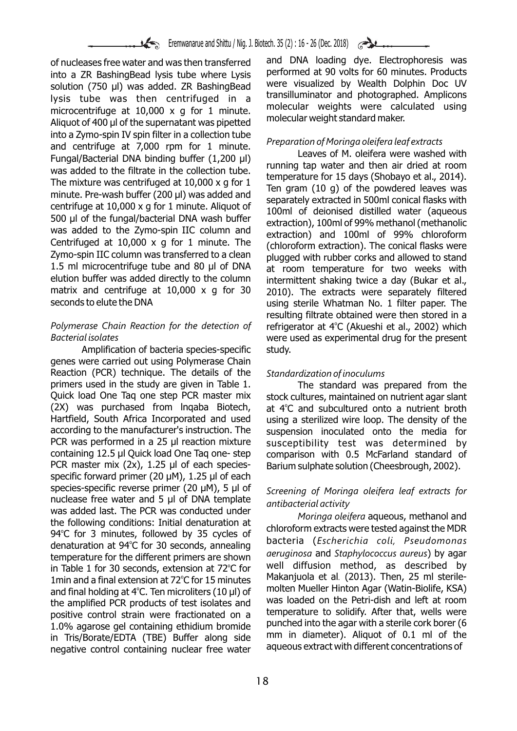of nucleases free water and was then transferred and DNA loading dye. Electrophoresis was<br>into a ZP BashingBead lysis tube where Lysis performed at 90 volts for 60 minutes. Products into a ZR BashingBead lysis tube where Lysis into a 40 volts for 60 minutes. Products into a ZR BashingBead zp BashingBead into were visualized by Wealth Dolphin Doc UV solution (750 µl) was added. ZR BashingBead Were visualized by Wealth Dolphin Doc UV<br>liveis tube was then contrifused in a transilluminator and photographed. Amplicons lysis tube was then centrifuged in a literal photographed. Amplicons lysis tube was then centrifuged in a literal molecular weights were calculated using microcentrifuge at 10,000 x g for 1 minute. molecular weights were calculated using microcentrifuge at 10,000 x g for 1 minute. Aliquot of 400 µl of the supernatant was pipetted. into a Zymo-spin IV spin filter in a collection tube<br>and centrifuge at 7,000 rpm for 1 minute.<br>Fungal/Bacterial DNA binding buffer (1,200 µl)<br>was added to the filtrate in the collection tube.<br>The mixture was centrifuged a bou un or the rungal pacterial DNA wash burier<br>was added to the Zymo-spin IIC column and<br>Centrifuged at 10,000 x g for 1 minute. The contention and 100ml of 99% chloroform<br>Centrifuged at 10,000 x g for 1 minute. The conten Centrifuged at 10,000 x g for 1 minute. The (chloroform extraction). The conical flasks were<br>Zymo-spin IIC column was transferred to a clean alugaed with rubber corks and allowed to stand Zymo-spin IIC column was transferred to a clean plugged with rubber corks and allowed to stand<br>1.5 ml microcentrifuge tube and 80 µl of DNA at room temperature, for two weeks with 1.5 ml microcentrifuge tube and 80 µl of DNA at room temperature for two weeks with elution buffer was added directly to the column intermittent shaking twice a day (Bukar et all elution buffer was added directly to the column intermittent shaking twice a day (Bukar et al., end to the colu<br>matrix and centrifuge at 10.000 x g for 30 and the extracts were senarately filtered matrix and centrifuge at 10,000 x g for 30 2010). The extracts were separately filtered

## Polymerase Chain Reaction for the detection of crefrigerator at 4°C (Akueshi et al., 2002) which *Bacterial isolates* were used as experimental drug for the present

Amplification of bacteria species-specific study. genes were carried out using Polymerase Chain Reaction (PCR) technique. The details of the *Standardization of inoculums* primers used in the study are given in Table 1. The standard was prepared from the<br>Quick load One Tag one step PCR master mix stock cultures, maintained on nutrient agar slant Quick load One Taq one step PCR master mix stock cultures, maintained on nutrient agar slant (2X) was purchased from Ingaba Biotech, at  $4^{\circ}$ C and subcultured onto a nutrient broth (2X) was purchased from Inqaba Biotech, at 4°C and subcultured onto a nutrient broth Hartfield, South Africa Incorporated and used using a sterilized wire loop. The density of the according to the manufacturer's instruction. The suspension inoculated onto the media for according to the manufacturer's instruction. The suspension inoculated onto the media for<br>PCR was performed in a 25 ul reaction mixture susceptibility test was determined by PCR was performed in a 25 µl reaction mixture susceptibility test was determined by containing 12.5 µl Quick load One Tag one-step comparison with 0.5 McFarland standard of PCR master mix (2x), 1.25 µl of each species-<br>Barium sulphate solution (Cheesbrough, 2002). specific forward primer (20 µM), 1.25 µl of each species-specific reverse primer (20 µM), 5 µl of *Screening of Moringa oleifera leaf extracts for* nuclease free water and 5 µl of DNA template nuclease free water and 5 µl of DNA template *antibacterial activity*<br>was added last. The PCR was conducted under *Moringa oleifera* aqueous, methanol and<br>the following conditions: Initial denaturation at chloroform extrac 94°C for 3 minutes, followed by 35 cycles of<br>departuration at 04°C for 30 cocords annoaling bacteria (Escherichia coli, Pseudomonas denaturation at 94°C for 30 seconds, annealing bacteria (*Escherichia coli, Pseudomonds*<br>temperature for the different primers are shown *geruginosa* and *Staphylococcus gureus*) by agar temperature for the different primers are shown arruginosa and *Staphylococcus aureus*) by agar<br>in Table 1 for 30 seconds, extension at 72°C for a Well diffusion method, as described by in Table 1 for 30 seconds, extension at 72 °C for a well diffusion method, as described by in Table 1 for 15 minutes and a final extension at 72 °C for 15 minutes and Makanjuola et al. (2013). Then, 25 ml sterile-1 min and a final extension at 72<sup>°</sup>C for 15 minutes and final holding at  $4^{\circ}$ C. Ten microliters (10 µl) of molten Mueller Hinton Agar (Watin-Biolife, KSA) the amplified PCP products of test isolates and was loaded on the Petri-dish and left at room the amplified PCR products of test isolates and the loaded on the Petri-dish and left at room<br>nositive control strain were fractionated on a temperature to solidify. After that, wells were positive control strain were fractionated on a temperature to solidify. After that, wells were<br>1.0% agarese gol containing othidium bromide bunched into the agar with a sterile cork borer (6 1.0% agarose gel containing ethidium bromide bunched into the agar with a sterile cork borer (6<br>in Tris/Borate/EDTA (TBE) Buffer along side s mm in diameter). Aliquot of 0.1 ml of the in Tris/Borate/EDTA (TBE) Buffer along side mm in diameter). Aliquot of 0.1 ml of the in the in Trisian pucker<br>negative control containing pucker free water aqueous extract with different concentrations of negative control containing nuclear free water

using sterile Whatman No. 1 filter paper. The resulting filtrate obtained were then stored in a

comparison with 0.5 McFarland standard of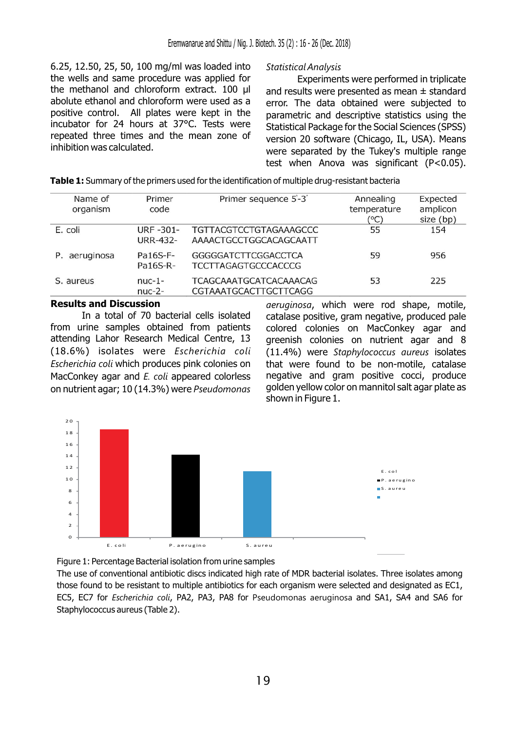6.25, 12.50, 25, 50, 100 mg/ml was loaded into *Statistical Analysis* the wells and same procedure was applied for<br>the methanol and chloroform extract.  $100 \mu l$  and results were presented as mean  $\pm$  standard the methanol and chloroform extract. 100  $\mu$ l and results were presented as mean  $\pm$  standard to the polyte ethanol and chloroform were used as a serror. The data obtained were subjected to abolute ethanol and chloroform were used as a error. The data obtained were subjected to<br>positive control. All plates were kept in the sparametric and descriptive statistics using the positive control. All plates were kept in the parametric and descriptive statistics using the incubator for 24 hours at 37°C. Tests were statistical package for the Social Sciences (SPSS) incubator for 24 hours at 37°C. Tests were Statistical Package for the Social Sciences (SPSS) repeated three times and the mean zone of  $\sqrt{2}$  version 20 software (Chicago IL USA). Means repeated three times and the mean zone of version 20 software (Chicago, IL, USA). Means<br>inhibition was calculated.

were separated by the Tukey's multiple range test when Anova was significant (P<0.05).

| Name of<br>organism | Primer<br>code                     | Primer sequence 5'-3'                                         | Annealing<br>temperature<br>(°C) | Expected<br>amplicon<br>size (bp) |
|---------------------|------------------------------------|---------------------------------------------------------------|----------------------------------|-----------------------------------|
| E. coli             | <b>URF-301-</b><br><b>URR-432-</b> | <b>TGTTACGTCCTGTAGAAAGCCC</b><br>AAAACTGCCTGGCACAGCAATT       | 55                               | 154                               |
| aeruginosa<br>Р.    | Pa16S-F-<br>Pa16S-R-               | <b>GGGGGATCTTCGGACCTCA</b><br><b>TCCTTAGAGTGCCCACCCG</b>      | 59                               | 956                               |
| S. aureus           | $nuc-1-$<br>$nuc-2-$               | <b>TCAGCAAATGCATCACAAACAG</b><br><b>CGTAAATGCACTTGCTTCAGG</b> | 53                               | 225                               |

In a total of 70 bacterial cells isolated catalase positive, gram negative, produced pale<br>from urine samples obtained from patients colored colonies on MacConkey agar and from urine samples obtained from patients colored colonies on MacConkey agar and<br>attending Lahor Research Medical Centre, 13 areenish colonies on nutrient agar and 8 (18.6%) isolates were *Escherichia coli* (11.4%) were *Staphylococcus aureus* isolates *Escherichia coli* which produces pink colonies on that were found to be non-motile, catalase MacConkey agar and *E. coli* appeared colorless negative and gram positive cocci, produce on nutrient agar; 10 (14.3%) were *Pseudomonas* golden yellow color on mannitol salt agar plate as

**Results and Discussion** *aeruginosa*, which were rod shape, motile, greenish colonies on nutrient agar and 8 shown in Figure 1.



Figure 1: Percentage Bacterial isolation from urine samples

The use of conventional antibiotic discs indicated high rate of MDR bacterial isolates. Three isolates among those found to be resistant to multiple antibiotics for each organism were selected and designated as EC1, EC5, EC7 for *Escherichia coli*, PA2, PA3, PA8 for Pseudomonas aeruginosa and SA1, SA4 and SA6 for Staphylococcus aureus (Table 2).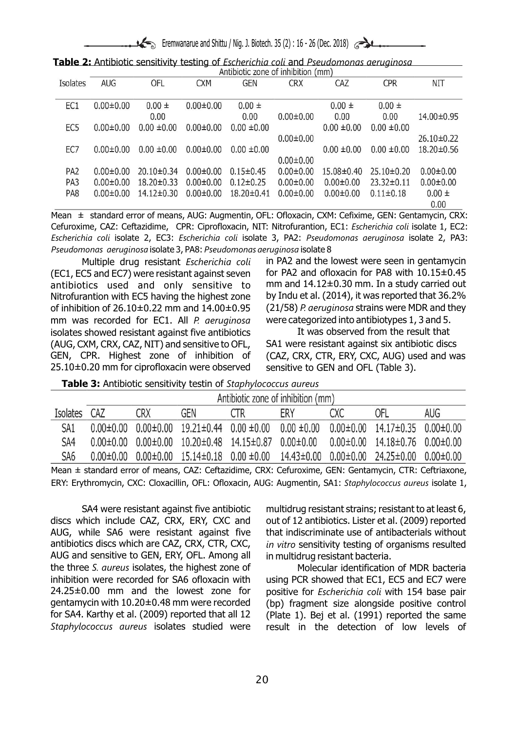Eremwanarue and Shittu / Nig. J. Biotech. 35 (2) : 16 - 26 (Dec. 2018)

| Table 2: Antibiotic sensitivity testing of Escherichia coli and Pseudomonas aeruginosa |  |
|----------------------------------------------------------------------------------------|--|
| Antibiotic zone of inhibition (mm)                                                     |  |

|                 |                 |                  |                 | <b>ARTIONAL COLLE OF RUBBLIOT (THEFT)</b> |                 |                 |                  |                  |
|-----------------|-----------------|------------------|-----------------|-------------------------------------------|-----------------|-----------------|------------------|------------------|
| Isolates        | <b>AUG</b>      | OFL              | <b>CXM</b>      | <b>GEN</b>                                | <b>CRX</b>      | CAZ             | <b>CPR</b>       | <b>NIT</b>       |
|                 |                 |                  |                 |                                           |                 |                 |                  |                  |
| EC1             | $0.00 \pm 0.00$ | $0.00 \pm$       | $0.00 \pm 0.00$ | $0.00 \pm$                                |                 | $0.00 \pm$      | $0.00 \pm$       |                  |
|                 |                 | 0.00             |                 | 0.00                                      | $0.00 \pm 0.00$ | 0.00            | 0.00             | 14.00±0.95       |
| EC <sub>5</sub> | $0.00 \pm 0.00$ | $0.00 \pm 0.00$  | $0.00 \pm 0.00$ | $0.00 \pm 0.00$                           |                 | $0.00 \pm 0.00$ | $0.00 \pm 0.00$  |                  |
|                 |                 |                  |                 |                                           | $0.00 \pm 0.00$ |                 |                  | $26.10 \pm 0.22$ |
| EC7             | $0.00 \pm 0.00$ | $0.00 \pm 0.00$  | $0.00 \pm 0.00$ | $0.00 \pm 0.00$                           |                 | $0.00 \pm 0.00$ | $0.00 \pm 0.00$  | $18,20\pm0.56$   |
|                 |                 |                  |                 |                                           | $0.00 \pm 0.00$ |                 |                  |                  |
| PA <sub>2</sub> | $0.00 \pm 0.00$ | 20.10±0.34       | $0.00 \pm 0.00$ | $0.15 \pm 0.45$                           | $0.00 \pm 0.00$ | 15.08±0.40      | 25.10±0.20       | $0.00 + 0.00$    |
| PA3             | $0.00 \pm 0.00$ | $18.20 \pm 0.33$ | $0.00 \pm 0.00$ | $0.12 \pm 0.25$                           | $0.00 \pm 0.00$ | $0.00 \pm 0.00$ | $23.32 \pm 0.11$ | $0.00 + 0.00$    |
| PA8             | $0.00 \pm 0.00$ | 14.12±0.30       | $0.00 \pm 0.00$ | 18.20±0.41                                | $0.00 \pm 0.00$ | $0.00 \pm 0.00$ | $0.11 \pm 0.18$  | $0.00 \pm$       |
|                 |                 |                  |                 |                                           |                 |                 |                  | 0.00             |

Mean  $\pm$  standard error of means, AUG: Augmentin, OFL: Ofloxacin, CXM: Cefixime, GEN: Gentamycin, CRX: Cefuroxime, CAZ: Ceftazidime, CPR: Ciprofloxacin, NIT: Nitrofurantion, EC1: *Escherichia coli* isolate 1, EC2: *Escherichia coli* isolate 2, EC3: *Escherichia coli* isolate 3, PA2: *Pseudomonas aeruginosa* isolate 2, PA3: *Pseudomonas aeruginosa* isolate 3, PA8: *Pseudomonas aeruginosa* isolate 8

(EC1, EC5 and EC7) were resistant against seven for PA2 and ofloxacin for PA8 with  $10.15\pm0.45$ antibiotics used and only sensitive to mm and 14.12±0.30 mm. In a study carried out Nitrofurantion with EC5 having the highest zone by Indu et al. (2014), it was reported that 36.2% of inhibition of 26.10±0.22 mm and 14.00±0.95 (21/58) *P. aeruginosa* strains were MDR and they mm was recorded for EC1. All *P. aeruginosa* were categorized into antibiotypes 1, 3 and 5. isolates showed resistant against five antibiotics The Was observed from the result that (AUG, CXM, CRX, CAZ, NIT) and sensitive to OFL, SA1 were resistant against six antibiotic discs GEN, CPR. Highest zone of inhibition of (CAZ, CRX, CTR, ERY, CXC, AUG) used and was  $25.10\pm0.20$  mm for ciprofloxacin were observed sensitive to GEN and OFL (Table 3).

Multiple drug resistant *Escherichia coli* in PA2 and the lowest were seen in gentamycin

**Table 3:** Antibiotic sensitivity testin of *Staphylococcus aureus*

|                 | Antibiotic zone of inhibition (mm) |     |                                             |     |                 |     |                                            |                 |
|-----------------|------------------------------------|-----|---------------------------------------------|-----|-----------------|-----|--------------------------------------------|-----------------|
| <b>Isolates</b> | CA7                                | CRX | GEN                                         | CTR | ERY             | CXC | OFL                                        | AUG             |
| SA <sub>1</sub> | $0.00 \pm 0.00$                    |     | $0.00\pm0.00$ $19.21\pm0.44$ $0.00\pm0.00$  |     | $0.00 \pm 0.00$ |     | $0.00\pm0.00$ $14.17\pm0.35$ $0.00\pm0.00$ |                 |
| SA4             | $0.00 \pm 0.00$                    |     | $0.00\pm0.00$ $10.20\pm0.48$ $14.15\pm0.87$ |     | $0.00 \pm 0.00$ |     | $0.00\pm0.00$ $14.18\pm0.76$ $0.00\pm0.00$ |                 |
| SA <sub>6</sub> | 0.00 H 0.00                        |     | $0.00\pm0.00$ $15.14\pm0.18$ $0.00\pm0.00$  |     | 14.43±0.00      |     | $0.00\pm0.00$ 24.25 $\pm0.00$              | $0.00 \pm 0.00$ |
|                 |                                    |     |                                             |     |                 |     |                                            |                 |

Mean ± standard error of means, CAZ: Ceftazidime, CRX: Cefuroxime, GEN: Gentamycin, CTR: Ceftriaxone, ERY: Erythromycin, CXC: Cloxacillin, OFL: Ofloxacin, AUG: Augmentin, SA1: *Staphylococcus aureus* isolate 1,

discs which include CAZ, CRX, ERY, CXC and out of 12 antibiotics. Lister et al. (2009) reported AUG, while SA6 were resistant against five that indiscriminate use of antibacterials without antibiotics discs which are CAZ, CRX, CTR, CXC, *in vitro* sensitivity testing of organisms resulted AUG and sensitive to GEN, ERY, OFL. Among all in multidrug resistant bacteria. the three *S. aureus* isolates, the highest zone of Molecular identification of MDR bacteria inhibition were recorded for SA6 ofloxacin with using PCR showed that EC1, EC5 and EC7 were 24.25±0.00 mm and the lowest zone for positive for *Escherichia coli* with 154 base pair gentamycin with 10.20±0.48 mm were recorded (bp) fragment size alongside positive control for SA4. Karthy et al. (2009) reported that all 12 (Plate 1). Bej et al. (1991) reported the same *Staphylococcus aureus* isolates studied were result in the detection of low levels of

SA4 were resistant against five antibiotic multidrug resistant strains; resistant to at least 6,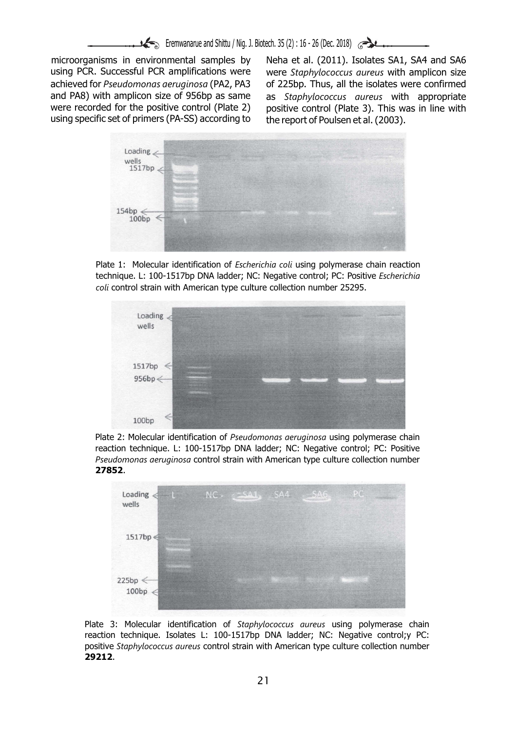microorganisms in environmental samples by Neha et al. (2011). Isolates SA1, SA4 and SA6 using PCR. Successful PCR amplifications were were *Staphylococcus aureus* with amplicon size achieved for *Pseudomonas aeruginosa* (PA2, PA3 of 225bp. Thus, all the isolates were confirmed and PA8) with amplicon size of 956bp as same as *Staphylococcus aureus* with appropriate were recorded for the positive control (Plate 2) positive control (Plate 3). This was in line with using specific set of primers (PA-SS) according to the report of Poulsen et al. (2003).



Plate 1: Molecular identification of *Escherichia coli* using polymerase chain reaction technique. L: 100-1517bp DNA ladder; NC: Negative control; PC: Positive *Escherichia coli* control strain with American type culture collection number 25295.



Plate 2: Molecular identification of *Pseudomonas aeruginosa* using polymerase chain reaction technique. L: 100-1517bp DNA ladder; NC: Negative control; PC: Positive *Pseudomonas aeruginosa* control strain with American type culture collection number **27852**.



Plate 3: Molecular identification of *Staphylococcus aureus* using polymerase chain reaction technique. Isolates L: 100-1517bp DNA ladder; NC: Negative control;y PC: positive *Staphylococcus aureus* control strain with American type culture collection number **29212**.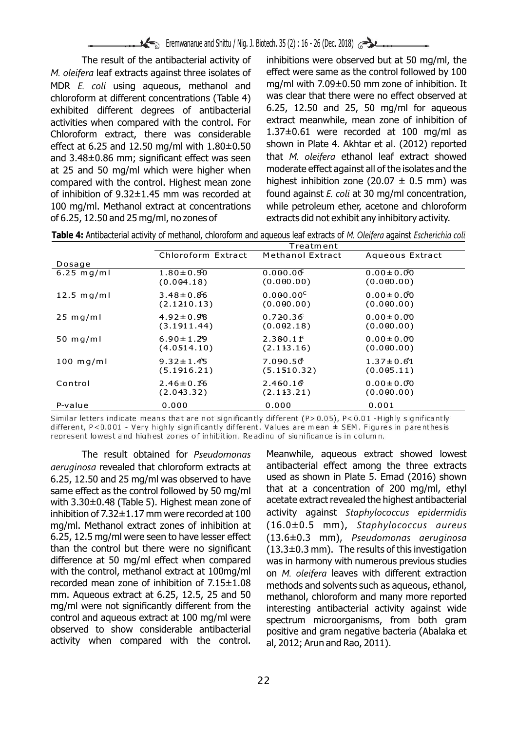*M. oleifera* leaf extracts against three isolates of effect were same as the control followed by 100 MDR *E. coli* using aqueous, methanol and mg/ml with  $7.09\pm0.50$  mm zone of inhibition. It chloroform at different concentrations (Table 4) was clear that there were no effect observed at chloroform at different concentrations (Table 4) was clear that there were no effect observed at<br>exhibited different, degrees, of antibacterial 6.25, 12.50 and 25, 50 mg/ml for aqueous exhibited different degrees of antibacterial 6.25, 12.50 and 25, 50 mg/ml for aqueous<br>activities when compared with the control For extract meanwhile, mean-zone of inhibition of activities when compared with the control. For extract meanwhile, mean zone of inhibition of<br>Chloroform, extract, there, was considerable  $1.37\pm0.61$  were recorded at 100 mg/ml as Chloroform extract, there was considerable  $1.37\pm0.61$  were recorded at 100 mg/ml as effect at 6.25 and 12.50 mg/ml with 1.80+0.50 shown in Plate 4. Akhtar et al. (2012) reported effect at 6.25 and 12.50 mg/ml with 1.80±0.50 shown in Plate 4. Akhtar et al. (2012) reported<br>and 3.48±0.86 mm; significant effect was seen that M. oleiferg ethanol leaf extract showed and 3.48±0.86 mm; significant effect was seen that *M. oleifera* ethanol leaf extract showed<br>at 25 and 50 mg/ml which were higher when moderate effect against all of the isolates and the at 25 and 50 mg/ml which were higher when moderate effect against all of the isolates and the compared with the control. Highest mean zone highest inhibition zone  $(20.07 \pm 0.5 \text{ mm})$  was compared with the control. Highest mean zone of inhibition of 9.32±1.45 mm was recorded at found against *E. coli* at 30 mg/ml concentration, 100 mg/ml. Methanol extract at concentrations while petroleum ether, acetone and chloroform of 6.25, 12.50 and 25 mg/ml, no zones of extracts did not exhibit any inhibitory activity.

The result of the antibacterial activity of inhibitions were observed but at 50 mg/ml, the

|  |  | Table 4: Antibacterial activity of methanol, chloroform and aqueous leaf extracts of M. Oleifera against Escherichia coli |
|--|--|---------------------------------------------------------------------------------------------------------------------------|
|--|--|---------------------------------------------------------------------------------------------------------------------------|

|              | Treatment          |                      |                 |  |  |  |  |  |
|--------------|--------------------|----------------------|-----------------|--|--|--|--|--|
|              | Chloroform Extract | Methanol Extract     | Aqueous Extract |  |  |  |  |  |
| Dosage       |                    |                      |                 |  |  |  |  |  |
| $6.25$ mg/ml | $1.80 \pm 0.50$    | 0.000.00             | $0.00 \pm 0.00$ |  |  |  |  |  |
|              | (0.004.18)         | (0.000.00)           | (0.000.00)      |  |  |  |  |  |
| $12.5$ mg/ml | $3.48 \pm 0.86$    | $0.000.00^{\circ}$   | $0.00 \pm 0.00$ |  |  |  |  |  |
|              | (2.1210.13)        | (0.000.00)           | (0.000.00)      |  |  |  |  |  |
| $25$ mg/ml   | $4.92 \pm 0.98$    | 0.720.36             | $0.00 \pm 0.00$ |  |  |  |  |  |
|              | (3.1911.44)        | (0.002.18)           | (0.000.00)      |  |  |  |  |  |
| 50 $mq/ml$   | $6.90 \pm 1.29$    | 2.380.1 <sup>8</sup> | $0.00 \pm 0.00$ |  |  |  |  |  |
|              | (4.0514.10)        | (2.113.16)           | (0.000.00)      |  |  |  |  |  |
| $100$ mg/ml  | $9.32 \pm 1.45$    | 7.090.50             | $1.37 \pm 0.61$ |  |  |  |  |  |
|              | (5.1916.21)        | (5.1510.32)          | (0.005.11)      |  |  |  |  |  |
| Control      | $2.46 \pm 0.16$    | 2.460.16             | $0.00 \pm 0.00$ |  |  |  |  |  |
|              | (2.043.32)         | (2.113.21)           | (0.000.00)      |  |  |  |  |  |
| P-value      | 0.000              | 0.000                | 0.001           |  |  |  |  |  |

Similar letters indicate means that are not significantly different (P>0.05), P<0.01 - Highly significantly different, P<0.001 - Very highly significantly different. Values are mean  $\pm$  SEM. Figures in parenthesis represent lowest and highest zones of inhibition. Reading of significance is in column.

*aeruginosa* revealed that chloroform extracts at antibacterial effect among the three extracts<br>6.25, 12.50 and 25 mg/ml was observed to have used as shown in Plate 5. Emad (2016) shown 6.25, 12.50 and 25 mg/ml was observed to have used as shown in Plate 5. Emad (2016) shown<br>same effect as the control followed by 50 mg/ml that at a concentration of 200 mg/ml, ethyl same effect as the control followed by 50 mg/ml directed at a concentration of 200 mg/ml, ethyl<br>with 3.30+0.48 (Table 5). Highest mean zone of acetate extract revealed the highest antibacterial with 3.30±0.48 (Table 5). Highest mean zone of acetate extract revealed the highest antibacterial<br>inhibition of 7.32±1.17 mm were recorded at 100 activity against Staphylococcus epidermidis inhibition of 7.32±1.17 mm were recorded at 100 mg/ml. Methanol extract zones of inhibition at (16.0±0.5 mm), *Staphylococcus aureus* 6.25, 12.5 mg/ml were seen to have lesser effect (13.6±0.3 mm), *Pseudomonas aeruginosa* than the control but there were no significant  $(13.3\pm0.3 \text{ mm})$ . The results of this investigation difference at 50 mg/ml effect when compared was in harmony with numerous previous studies with the control, methanol extract at 100mg/ml on  $M$  oleiferal leaves with different extraction with the control, methanol extract at 100mg/ml on *M. oleifera* leaves with different extraction<br>recorded mean zone of inhibition of 7.15±1.08 methods and solvents such as aqueous ethanol recorded mean zone of inhibition of 7.15±1.08 methods and solvents such as aqueous, ethanol,<br>mm. Aqueous extract at 6.25, 12.5, 25 and 50 methanol, chloroform and many more reported mm. Aqueous extract at 6.25, 12.5, 25 and 50 methanol, chloroform and many more reported<br>mg/ml were not significantly different from the suppressing antibacterial activity against wide mg/ml were not significantly different from the interesting antibacterial activity against wide<br>control and agueous extract at 100 mg/ml were spectrum microorganisms from both gram control and aqueous extract at 100 mg/ml were spectrum microorganisms, from both gram activity when compared with the control.  $a$ , 2012; Arun and Rao, 2011).

The result obtained for *Pseudomonas* Meanwhile, aqueous extract showed lowest positive and gram negative bacteria (Abalaka et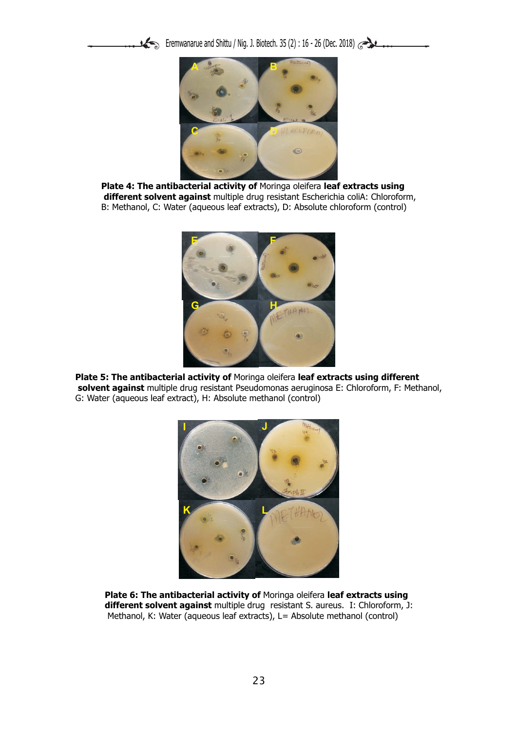Eremwanarue and Shittu / Nig. J. Biotech. 35 (2) : 16 - 26 (Dec. 2018)



**Plate 4: The antibacterial activity of** Moringa oleifera **leaf extracts using different solvent against** multiple drug resistant Escherichia coliA: Chloroform, B: Methanol, C: Water (aqueous leaf extracts), D: Absolute chloroform (control)



**Plate 5: The antibacterial activity of** Moringa oleifera **leaf extracts using different solvent against** multiple drug resistant Pseudomonas aeruginosa E: Chloroform, F: Methanol, G: Water (aqueous leaf extract), H: Absolute methanol (control)



**Plate 6: The antibacterial activity of** Moringa oleifera **leaf extracts using different solvent against** multiple drug resistant S. aureus. I: Chloroform, J: Methanol, K: Water (aqueous leaf extracts), L= Absolute methanol (control)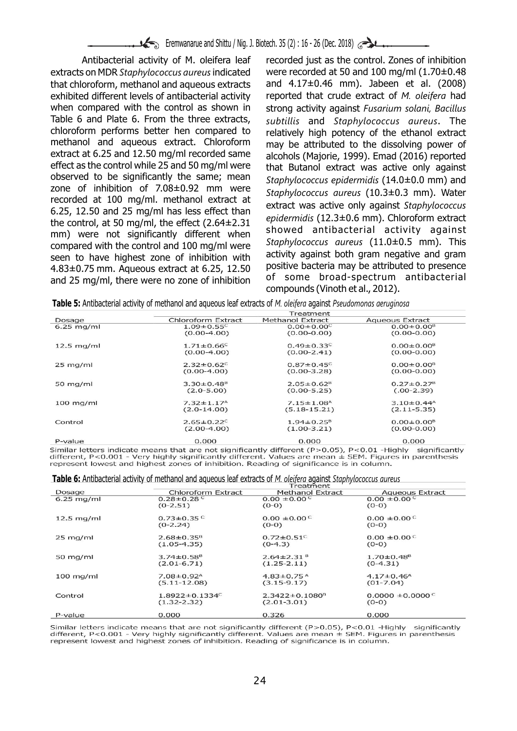extracts on MDR *Staphylococcus aureus* indicated were recorded at 50 and 100 mg/ml (1.70±0.48<br>that chloroform, methanol and agueous extracts and 4.17±0.46 mm). Jabeen et al. (2008) that chloroform, methanol and aqueous extracts exhibited different levels of antibacterial activity reported that crude extract of *M. oleifera* had when compared with the control as shown in strong activity against *Fusarium solani, Bacillus*<br>Table 6 and Plate 6. From the three extracts, subtillis and Stanbylococcus gureus. The Table 6 and Plate 6. From the three extracts, *subtillis* and *Staphylococcus aureus*. The chloroform performs better hen compared to relatively high potency of the ethanol extract<br>methanol and aqueous extract. Chloroform may be attributed to the dissolving power of methanol and aqueous extract. Chloroform may be attributed to the dissolving power of extract at 6.25 and 12.50 mg/ml recorded same alcohols (Majorie 1999) Emad (2016) reported extract at 6.25 and 12.50 mg/ml recorded same alcohols (Majorie, 1999). Emad (2016) reported<br>effect as the control while 25 and 50 mg/ml were that Butanol extract was active only against effect as the control while 25 and 50 mg/ml were that Butanol extract was active only against<br>observed to be significantly the same; mean extraplificanceus enidermidis (14.0+0.0 mm) and observed to be significantly the same; mean *Staphylococcus epidermidis* (14.0±0.0 mm) and zone of inhibition of 7.08±0.92 mm were<br>recorded at 100 mg/ml. methanol extract at<br>6.25, 12.50 and 25 mg/ml has less effect than<br>the control, at 50 mg/ml, the effect (2.64±2.31<br>mm) were not significantly different when<br>mm mm) were not significantly different when<br> *Staphylococcus aureus* (11.0±0.5 mm). This<br>
seen to have bighest zone of inhibition with activity against both gram negative and gram seen to have highest zone of inhibition with activity against both gram negative and gram<br>4.83+0.75 mm, Aquoous oxtract at 6.25, 12.50 Dositive bacteria may be attributed to presence 4.83±0.75 mm. Aqueous extract at 6.25, 12.50 DOSITIVE bacteria may be attributed to presence<br>and 25 mg/ml, there were no zone of inhibition of some broad-spectrum antibacterial and 25 mg/ml, there were no zone of inhibition

Antibacterial activity of M. oleifera leaf recorded just as the control. Zones of inhibition compounds (Vinoth et al., 2012).

|  | <b>Table 5:</b> Antibacterial activity of methanol and aqueous leaf extracts of <i>M. oleifera</i> against <i>Pseudomonas aeruginosa</i> |
|--|------------------------------------------------------------------------------------------------------------------------------------------|
|  |                                                                                                                                          |

|              |                              | Treatment                    |                              |
|--------------|------------------------------|------------------------------|------------------------------|
| Dosage       | Chloroform Extract           | Methanol Extract             | <b>Aqueous Extract</b>       |
| $6.25$ mg/ml | $1.09 \pm 0.55$ <sup>C</sup> | $0.00 \pm 0.00^{\circ}$      | $0.00 \pm 0.00^8$            |
|              | $(0.00-4.00)$                | $(0.00-0.00)$                | $(0.00 - 0.00)$              |
| $12.5$ mg/ml | $1.71 \pm 0.66$ <sup>c</sup> | $0.49 \pm 0.33$ <sup>c</sup> | $0.00 \pm 0.00^8$            |
|              | $(0.00-4.00)$                | $(0.00-2.41)$                | $(0.00 - 0.00)$              |
| $25$ mg/ml   | $2.32 \pm 0.62^c$            | $0.87 \pm 0.45$ <sup>c</sup> | $0.00 \pm 0.00^{\text{B}}$   |
|              | $(0.00-4.00)$                | $(0.00 - 3.28)$              | $(0.00 - 0.00)$              |
| 50 $mq/ml$   | $3.30 \pm 0.48^{\circ}$      | $2.05 \pm 0.62$ <sup>B</sup> | $0.27 \pm 0.27$ <sup>B</sup> |
|              | $(2.0 - 5.00)$               | $(0.00 - 5.25)$              | $(.00-2.39)$                 |
| $100$ mg/ml  | $7.32 \pm 1.17$ <sup>A</sup> | $7.15 \pm 1.08$ <sup>A</sup> | $3.10 \pm 0.44$ <sup>A</sup> |
|              | $(2.0-14.00)$                | $(5.18 - 15.21)$             | $(2.11 - 5.35)$              |
| Control      | $2.65 \pm 0.22^{\circ}$      | $1.94 \pm 0.25^8$            | $0.00 \pm 0.00^8$            |
|              | $(2.00-4.00)$                | $(1.00 - 3.21)$              | $(0.00 - 0.00)$              |
| P-value      | 0.000                        | 0.000                        | 0.000                        |

Similar letters indicate means that are not significantly different (P>0.05), P<0.01 -Highly significantly different, P<0.001 - Very highly significantly different. Values are mean  $\pm$  SEM. Figures in parenthesis represent lowest and highest zones of inhibition. Reading of significance is in column.

|  |  |  |  |  |  | <b>Table 6:</b> Antibacterial activity of methanol and aqueous leaf extracts of <i>M. oleiferg</i> against Staphylococcus aureus |
|--|--|--|--|--|--|----------------------------------------------------------------------------------------------------------------------------------|
|  |  |  |  |  |  |                                                                                                                                  |

|                    | Treatment                        |                              |                              |  |  |  |  |  |
|--------------------|----------------------------------|------------------------------|------------------------------|--|--|--|--|--|
| Dosage             | Chloroform Extract               | Methanol Extract             | <b>Aqueous Extract</b>       |  |  |  |  |  |
| $6.25$ mg/ml       | $0.28 \pm 0.28$                  | $0.00 \pm 0.00^{\circ}$      | $0.00 \pm 0.00$              |  |  |  |  |  |
|                    | $(0-2.51)$                       | $(0-0)$                      | $(0-0)$                      |  |  |  |  |  |
| $12.5$ mg/ml       | $0.73 \pm 0.35$ <sup>C</sup>     | $0.00 \pm 0.00$ <sup>C</sup> | $0.00 \pm 0.00$              |  |  |  |  |  |
|                    | $(0-2.24)$                       | $(0-0)$                      | $(0-0)$                      |  |  |  |  |  |
| $25 \text{ mg/ml}$ | $2.68 \pm 0.35$ <sup>B</sup>     | $0.72 \pm 0.51$ <sup>c</sup> | $0.00 \pm 0.00$              |  |  |  |  |  |
|                    | $(1.05 - 4.35)$                  | $(0-4.3)$                    | $(0-0)$                      |  |  |  |  |  |
| 50 $mg/ml$         | $3.74 \pm 0.58$ <sup>B</sup>     | $2.64 \pm 2.31$ <sup>B</sup> | $1.70 \pm 0.48^{\circ}$      |  |  |  |  |  |
|                    | $(2.01 - 6.71)$                  | $(1.25 - 2.11)$              | $(0-4.31)$                   |  |  |  |  |  |
| $100$ mg/ml        | $7.08 \pm 0.92$ <sup>A</sup>     | $4.83 \pm 0.75$ <sup>A</sup> | $4.17 \pm 0.46$ <sup>A</sup> |  |  |  |  |  |
|                    | $(5.11 - 12.08)$                 | $(3.15 - 9.17)$              | $(01 - 7.04)$                |  |  |  |  |  |
| Control            | $1.8922 \pm 0.1334$ <sup>c</sup> | $2.3422 \pm 0.1080^8$        | $0.0000 \pm 0.0000^{\circ}$  |  |  |  |  |  |
|                    | $(1.32 - 2.32)$                  | $(2.01 - 3.01)$              | $(0-0)$                      |  |  |  |  |  |
| P-value            | 0.000                            | 0.326                        | 0.000                        |  |  |  |  |  |
|                    |                                  |                              |                              |  |  |  |  |  |

Similar letters indicate means that are not significantly different (P>0.05), P<0.01 -Highly significantly different, P<0.001 - Very highly significantly different. Values are mean  $\pm$  SEM. Figures in parenthesis represent lowest and highest zones of inhibition. Reading of significance is in column.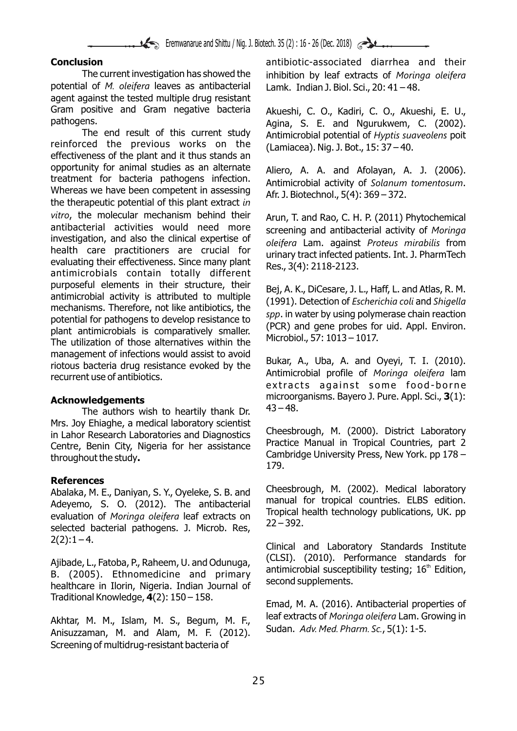potential of *M. oleifera* leaves as antibacterial Lamk. Indian J. Biol. Sci., 20: 41 – 48. agent against the tested multiple drug resistant Gram positive and Gram negative bacteria Akueshi, C. O., Kadiri, C. O., Akueshi, E. U., Dathogens.

reinforced the previous works on the  $(Lamiacea)$ . Nig. J. Bot., 15: 37 – 40. effectiveness of the plant and it thus stands an opportunity for animal studies as an alternate Aliero, A. A. and Afolayan, A. J. (2006).<br>treatment for bacteria pathogens infection. Antimicrobial activity of Selanum tementerum. Whereas we have been competent in assessing. the therapeutic potential of this plant extract *in vitro*, the molecular mechanism behind their Arun, T. and Rao, C. H. P. (2011) Phytochemical<br>antibacterial activities would need more ecreening and antibacterial activity of Moringa antibacterial activities would need more screening and antibacterial activity of *Moringa*  investigation, and also the clinical expertise of *oleifera* Lam. against *Proteus mirabilis* from nealth care practitioners are crucial for urinary tract infected patients. Int. J. PharmTech evaluating their effectiveness. Since many plant Res., 3(4): 2118-2123.<br>antimicrobials contain totally different Res., 3(4): 2118 purposeful elements in their structure, their<br>antimicrobial activity is attributed to multiple<br>mechanisms. Therefore, not like antibiotics, the<br>antibiotics, the spp. in water by using polymerase chain reaction potential for pathogens to develop resistance to<br>plant antimicrobials is comparatively smaller. (PCR) and gene probes for uid. Appl. Environ.<br>The utilization of those alternatives within the Microbiol., 57: 1013 – 1017. management of infections would assist to avoid<br>riotous bacteria drug resistance evoked by the Bukar, A., Uba, A. and Oyeyi, T. I. (2010). Antimicrobial profile of *Moringa oleifera* lam recurrent use of antibiotics.

The authors wish to heartily thank Dr. Mrs. Joy Ehiaghe, a medical laboratory scientist Individual Cheesbrough, M. (2000). District Laboratory<br>Control Bonin City Nigoria for her assistance Practice Manual in Tropical Countries, part 2 Centre, Benin City, Nigeria for her assistance Cambridge University Press, New York. pp 178 – throughout the study**.**

# **References**

Adeyemo, S. O. (2012). The antibacterial manual for tropical countries. ELBS edition.<br>Cualuation of Maringa claifors loaf oxtracts on Tropical health technology publications, UK. pp evaluation of *Moringa oleifera* leaf extracts on **ITOPICAL I**<br>cologized bacterial nather age 1 Mirrah Rec. 22–392. selected bacterial pathogens. J. Microb. Res, 2(2):1 – 4. Clinical and Laboratory Standards Institute

Traditional Knowledge, **4**(2): 150 – 158. Emad, M. A. (2016). Antibacterial properties of

Anisuzzaman, M. and Alam, M. F. (2012). Screening of multidrug-resistant bacteria of

**Conclusion Conclusion Conclusion antibiotic-associated diarrhea and their** The current investigation has showed the inhibition by leaf extracts of *Moringa oleifera*

ens.<br>The end result of this current study antimicrobial potential of Hyntis sugveolens poit Antimicrobial potential of *Hyptis suaveolens* poit

Antimicrobial activity of *Solanum tomentosum*.<br>Afr. J. Biotechnol., 5(4): 369 – 372.

extracts against some food-borne microorganisms. Bayero J. Pure. Appl. Sci., **3**(1): **Acknowledgements**

179.

Cheesbrough, M. (2002). Medical laboratory<br>Abalaka, M. E., Daniyan, S. Y., Oyeleke, S. B. and Cheesbrough, M. (2002). Medical laboratory

Ajibade, L., Fatoba, P., Raheem, U. and Odunuga, (CLSI). (2010). Performance standards for<br>B. (2005). Ethnomedicine and primary antimicrobial susceptibility testing; 16<sup>th</sup> Edition,<br>healthcare in Ilorin, Nigeria. Indian Jo

Akhtar, M. M., Islam, M. S., Begum, M. F., leaf extracts of *Moringa oleifera* Lam. Growing in Akhtar, M. and Alam, M. F. (2012) Sudan. Adv. Med. Pharm. Sc., 5(1): 1-5.